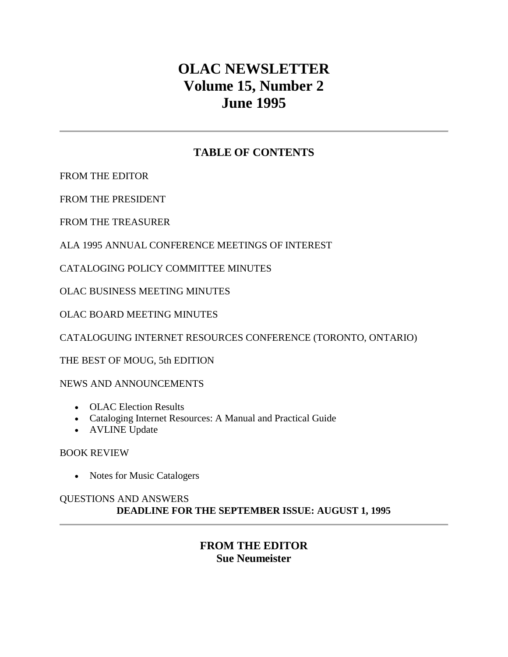# **OLAC NEWSLETTER Volume 15, Number 2 June 1995**

# **TABLE OF CONTENTS**

[FROM THE EDITOR](http://ublib.buffalo.edu/libraries/units/cts/olac/newsletters/june95.html#editor)

[FROM THE PRESIDENT](http://ublib.buffalo.edu/libraries/units/cts/olac/newsletters/june95.html#president)

[FROM THE TREASURER](http://ublib.buffalo.edu/libraries/units/cts/olac/newsletters/june95.html#treasurer)

[ALA 1995 ANNUAL CONFERENCE MEETINGS OF INTEREST](http://ublib.buffalo.edu/libraries/units/cts/olac/newsletters/june95.html#ala1995)

[CATALOGING POLICY COMMITTEE MINUTES](http://ublib.buffalo.edu/libraries/units/cts/olac/newsletters/june95.html#capc)

[OLAC BUSINESS MEETING MINUTES](http://ublib.buffalo.edu/libraries/units/cts/olac/newsletters/june95.html#business)

[OLAC BOARD MEETING MINUTES](http://ublib.buffalo.edu/libraries/units/cts/olac/newsletters/june95.html#board)

[CATALOGUING INTERNET RESOURCES CONFERENCE \(TORONTO, ONTARIO\)](http://ublib.buffalo.edu/libraries/units/cts/olac/newsletters/june95.html#catinternet)

[THE BEST OF MOUG, 5th EDITION](http://ublib.buffalo.edu/libraries/units/cts/olac/newsletters/june95.html#moug)

[NEWS AND ANNOUNCEMENTS](http://ublib.buffalo.edu/libraries/units/cts/olac/newsletters/june95.html#news)

- [OLAC Election Results](http://ublib.buffalo.edu/libraries/units/cts/olac/newsletters/june95.html#election)
- [Cataloging Internet Resources: A Manual and Practical Guide](http://ublib.buffalo.edu/libraries/units/cts/olac/newsletters/june95.html#catmanual)
- [AVLINE Update](http://ublib.buffalo.edu/libraries/units/cts/olac/newsletters/june95.html#avline)

[BOOK REVIEW](http://ublib.buffalo.edu/libraries/units/cts/olac/newsletters/june95.html#review)

• [Notes for Music Catalogers](http://ublib.buffalo.edu/libraries/units/cts/olac/newsletters/june95.html#notes)

#### [QUESTIONS AND ANSWERS](http://ublib.buffalo.edu/libraries/units/cts/olac/newsletters/june95.html#questions) **DEADLINE FOR THE [SEPTEMBER ISSUE:](http://ublib.buffalo.edu/libraries/units/cts/olac/newsletters/sept95.html) AUGUST 1, 1995**

# **FROM THE EDITOR Sue Neumeister**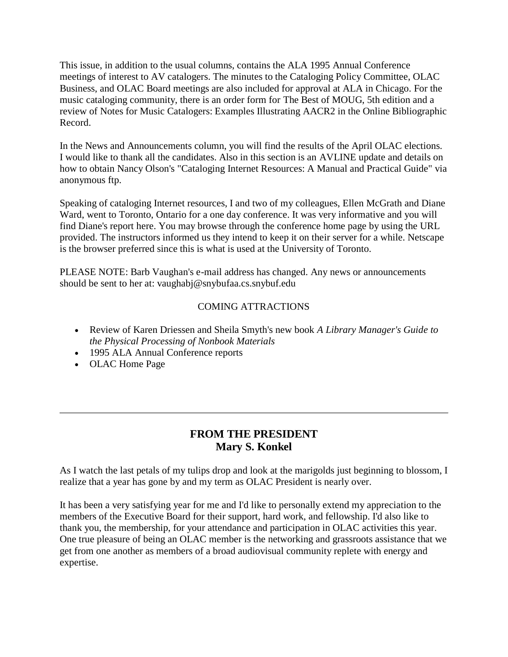This issue, in addition to the usual columns, contains the ALA 1995 Annual Conference meetings of interest to AV catalogers. The minutes to the Cataloging Policy Committee, OLAC Business, and OLAC Board meetings are also included for approval at ALA in Chicago. For the music cataloging community, there is an order form for [The Best of MOUG, 5th edition](http://ublib.buffalo.edu/libraries/units/cts/olac/newsletters/june95.html#moug) and a review of [Notes for Music Catalogers: Examples Illustrating AACR2 in the Online Bibliographic](http://ublib.buffalo.edu/libraries/units/cts/olac/newsletters/june95.html#notes)  [Record.](http://ublib.buffalo.edu/libraries/units/cts/olac/newsletters/june95.html#notes)

In the [News and Announcements column,](http://ublib.buffalo.edu/libraries/units/cts/olac/newsletters/june95.html#news) you will find the results of the April OLAC elections. I would like to thank all the candidates. Also in this section is an [AVLINE update](http://ublib.buffalo.edu/libraries/units/cts/olac/newsletters/june95.html#avline) and details on how to obtain [Nancy Olson's "Cataloging Internet Resources: A Manual and Practical Guide"](http://ublib.buffalo.edu/libraries/units/cts/olac/newsletters/june95.html#catmanual) via anonymous ftp.

Speaking of cataloging Internet resources, I and two of my colleagues, Ellen McGrath and Diane Ward, went to Toronto, Ontario for a one day conference. It was very informative and you will find Diane's report [here.](http://ublib.buffalo.edu/libraries/units/cts/olac/newsletters/june95.html#catinternet) You may browse through the conference home page by using the URL provided. The instructors informed us they intend to keep it on their server for a while. Netscape is the browser preferred since this is what is used at the University of Toronto.

PLEASE NOTE: Barb Vaughan's e-mail address has changed. Any news or announcements should be sent to her at: [vaughabj@snybufaa.cs.snybuf.edu](mailto:vaughabj@snybufaa.cs.snybuf.edu)

#### COMING ATTRACTIONS

- Review of Karen Driessen and Sheila Smyth's new book *A Library Manager's Guide to the Physical Processing of Nonbook Materials*
- 1995 ALA Annual Conference reports
- OLAC Home Page

# **FROM THE PRESIDENT Mary S. Konkel**

As I watch the last petals of my tulips drop and look at the marigolds just beginning to blossom, I realize that a year has gone by and my term as OLAC President is nearly over.

It has been a very satisfying year for me and I'd like to personally extend my appreciation to the members of the Executive Board for their support, hard work, and fellowship. I'd also like to thank you, the membership, for your attendance and participation in OLAC activities this year. One true pleasure of being an OLAC member is the networking and grassroots assistance that we get from one another as members of a broad audiovisual community replete with energy and expertise.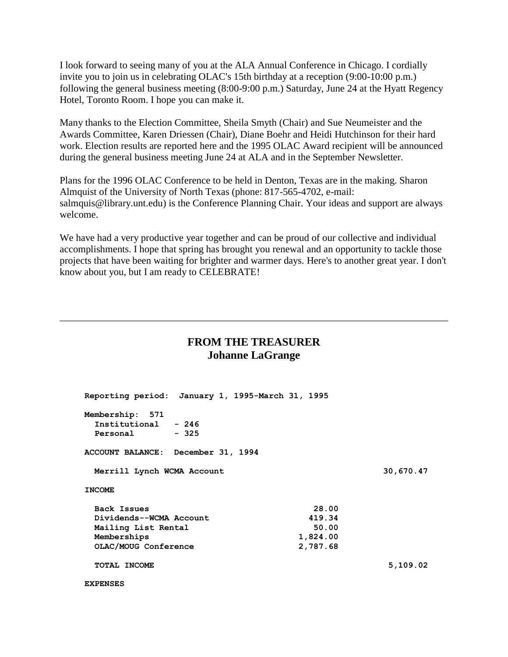I look forward to seeing many of you at the ALA Annual Conference in Chicago. I cordially invite you to join us in celebrating OLAC's 15th birthday at a reception (9:00-10:00 p.m.) following the general business meeting (8:00-9:00 p.m.) Saturday, June 24 at the Hyatt Regency Hotel, Toronto Room. I hope you can make it.

Many thanks to the Election Committee, Sheila Smyth (Chair) and Sue Neumeister and the Awards Committee, Karen Driessen (Chair), Diane Boehr and Heidi Hutchinson for their hard work. Election results are reported [here](http://ublib.buffalo.edu/libraries/units/cts/olac/newsletters/june95.html#election) and the 1995 OLAC Award recipient will be announced during the general business meeting June 24 at ALA and in the September Newsletter.

Plans for the 1996 OLAC Conference to be held in Denton, Texas are in the making. Sharon Almquist of the University of North Texas (phone: 817-565-4702, e-mail: [salmquis@library.unt.edu\)](mailto:salmquis@library.unt.edu) is the Conference Planning Chair. Your ideas and support are always welcome.

We have had a very productive year together and can be proud of our collective and individual accomplishments. I hope that spring has brought you renewal and an opportunity to tackle those projects that have been waiting for brighter and warmer days. Here's to another great year. I don't know about you, but I am ready to CELEBRATE!

#### **FROM THE TREASURER Johanne LaGrange**

| Reporting period: January 1, 1995-March 31, 1995         |  |          |           |          |
|----------------------------------------------------------|--|----------|-----------|----------|
| Membership: 571<br>Institutional - 246<br>Personal - 325 |  |          |           |          |
| ACCOUNT BALANCE: December 31, 1994                       |  |          |           |          |
| Merrill Lynch WCMA Account                               |  |          | 30,670.47 |          |
| <b>INCOME</b>                                            |  |          |           |          |
| Back Issues                                              |  |          | 28.00     |          |
| Dividends--WCMA Account                                  |  | 419.34   |           |          |
| Mailing List Rental                                      |  | 50.00    |           |          |
| Memberships                                              |  | 1,824.00 |           |          |
| OLAC/MOUG Conference                                     |  |          | 2,787.68  |          |
| <b>TOTAL INCOME</b>                                      |  |          |           | 5,109.02 |
| <b>EXPENSES</b>                                          |  |          |           |          |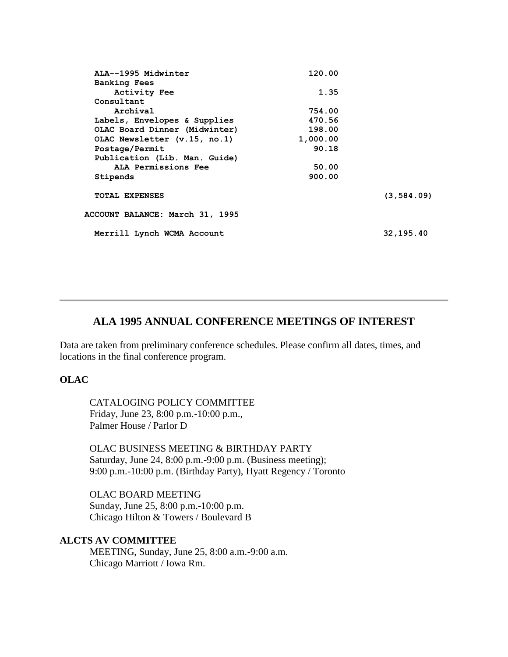| ALA--1995 Midwinter             | 120.00   |             |
|---------------------------------|----------|-------------|
| <b>Banking Fees</b>             |          |             |
| Activity Fee                    | 1.35     |             |
| Consultant                      |          |             |
| Archival                        | 754.00   |             |
| Labels, Envelopes & Supplies    | 470.56   |             |
| OLAC Board Dinner (Midwinter)   | 198.00   |             |
| OLAC Newsletter (v.15, no.1)    | 1,000.00 |             |
| Postage/Permit                  | 90.18    |             |
| Publication (Lib. Man. Guide)   |          |             |
| ALA Permissions Fee             | 50.00    |             |
| Stipends                        | 900.00   |             |
| <b>TOTAL EXPENSES</b>           |          | (3, 584.09) |
| ACCOUNT BALANCE: March 31, 1995 |          |             |
| Merrill Lynch WCMA Account      |          | 32,195.40   |

#### **ALA 1995 ANNUAL CONFERENCE MEETINGS OF INTEREST**

Data are taken from preliminary conference schedules. Please confirm all dates, times, and locations in the final conference program.

#### **OLAC**

CATALOGING POLICY COMMITTEE Friday, June 23, 8:00 p.m.-10:00 p.m., Palmer House / Parlor D

OLAC BUSINESS MEETING & BIRTHDAY PARTY Saturday, June 24, 8:00 p.m.-9:00 p.m. (Business meeting); 9:00 p.m.-10:00 p.m. (Birthday Party), Hyatt Regency / Toronto

OLAC BOARD MEETING Sunday, June 25, 8:00 p.m.-10:00 p.m. Chicago Hilton & Towers / Boulevard B

#### **ALCTS AV COMMITTEE**

MEETING, Sunday, June 25, 8:00 a.m.-9:00 a.m. Chicago Marriott / Iowa Rm.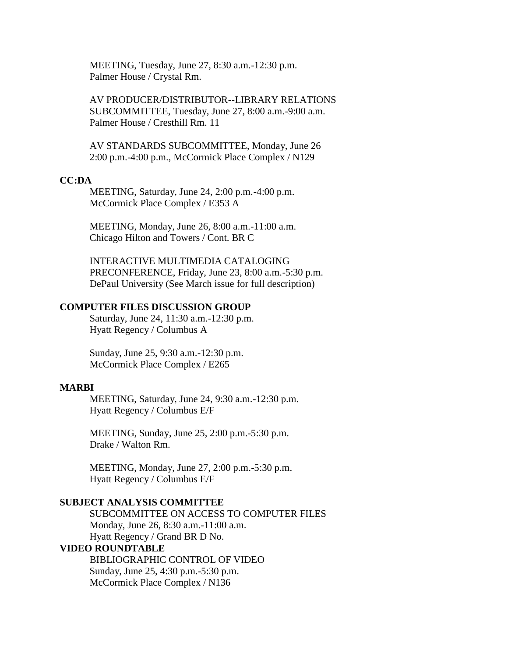MEETING, Tuesday, June 27, 8:30 a.m.-12:30 p.m. Palmer House / Crystal Rm.

AV PRODUCER/DISTRIBUTOR--LIBRARY RELATIONS SUBCOMMITTEE, Tuesday, June 27, 8:00 a.m.-9:00 a.m. Palmer House / Cresthill Rm. 11

AV STANDARDS SUBCOMMITTEE, Monday, June 26 2:00 p.m.-4:00 p.m., McCormick Place Complex / N129

#### **CC:DA**

MEETING, Saturday, June 24, 2:00 p.m.-4:00 p.m. McCormick Place Complex / E353 A

MEETING, Monday, June 26, 8:00 a.m.-11:00 a.m. Chicago Hilton and Towers / Cont. BR C

INTERACTIVE MULTIMEDIA CATALOGING PRECONFERENCE, Friday, June 23, 8:00 a.m.-5:30 p.m. DePaul University (See March issue for full description)

#### **COMPUTER FILES DISCUSSION GROUP**

Saturday, June 24, 11:30 a.m.-12:30 p.m. Hyatt Regency / Columbus A

Sunday, June 25, 9:30 a.m.-12:30 p.m. McCormick Place Complex / E265

#### **MARBI**

MEETING, Saturday, June 24, 9:30 a.m.-12:30 p.m. Hyatt Regency / Columbus E/F

MEETING, Sunday, June 25, 2:00 p.m.-5:30 p.m. Drake / Walton Rm.

MEETING, Monday, June 27, 2:00 p.m.-5:30 p.m. Hyatt Regency / Columbus E/F

#### **SUBJECT ANALYSIS COMMITTEE**

SUBCOMMITTEE ON ACCESS TO COMPUTER FILES Monday, June 26, 8:30 a.m.-11:00 a.m. Hyatt Regency / Grand BR D No. **VIDEO ROUNDTABLE** BIBLIOGRAPHIC CONTROL OF VIDEO

Sunday, June 25, 4:30 p.m.-5:30 p.m. McCormick Place Complex / N136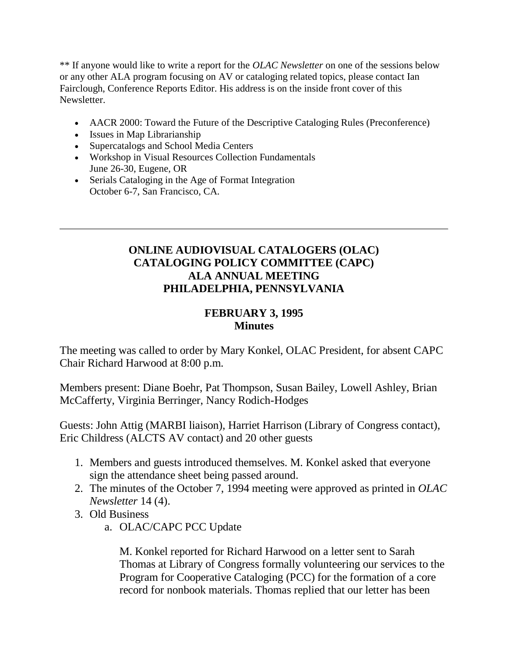\*\* If anyone would like to write a report for the *OLAC Newsletter* on one of the sessions below or any other ALA program focusing on AV or cataloging related topics, please contact Ian Fairclough, Conference Reports Editor. His address is on the inside front cover of this Newsletter.

- AACR 2000: Toward the Future of the Descriptive Cataloging Rules (Preconference)
- Issues in Map Librarianship
- Supercatalogs and School Media Centers
- Workshop in Visual Resources Collection Fundamentals June 26-30, Eugene, OR
- Serials Cataloging in the Age of Format Integration October 6-7, San Francisco, CA.

# **ONLINE AUDIOVISUAL CATALOGERS (OLAC) CATALOGING POLICY COMMITTEE (CAPC) ALA ANNUAL MEETING PHILADELPHIA, PENNSYLVANIA**

# **FEBRUARY 3, 1995 Minutes**

The meeting was called to order by Mary Konkel, OLAC President, for absent CAPC Chair Richard Harwood at 8:00 p.m.

Members present: Diane Boehr, Pat Thompson, Susan Bailey, Lowell Ashley, Brian McCafferty, Virginia Berringer, Nancy Rodich-Hodges

Guests: John Attig (MARBI liaison), Harriet Harrison (Library of Congress contact), Eric Childress (ALCTS AV contact) and 20 other guests

- 1. Members and guests introduced themselves. M. Konkel asked that everyone sign the attendance sheet being passed around.
- 2. The [minutes](http://ublib.buffalo.edu/libraries/units/cts/olac/newsletters/dec94.html#capc) of the October 7, 1994 meeting were approved as printed in *OLAC Newsletter* 14 (4).
- 3. Old Business
	- a. OLAC/CAPC PCC Update

M. Konkel reported for Richard Harwood on a letter sent to Sarah Thomas at Library of Congress formally volunteering our services to the Program for Cooperative Cataloging (PCC) for the formation of a core record for nonbook materials. Thomas replied that our letter has been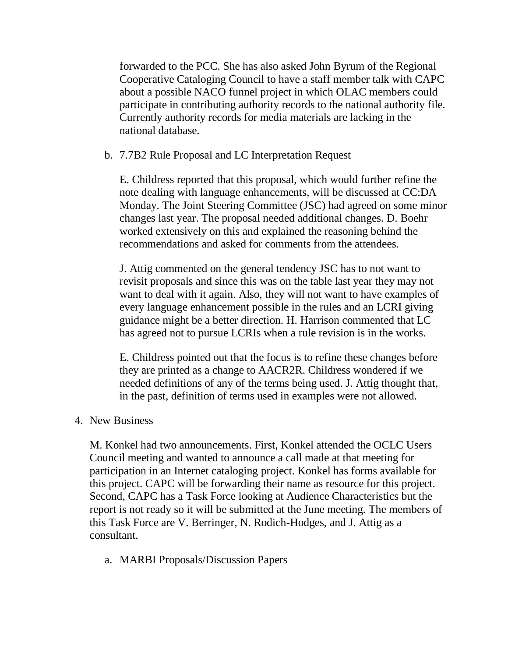forwarded to the PCC. She has also asked John Byrum of the Regional Cooperative Cataloging Council to have a staff member talk with CAPC about a possible NACO funnel project in which OLAC members could participate in contributing authority records to the national authority file. Currently authority records for media materials are lacking in the national database.

#### b. 7.7B2 Rule Proposal and LC Interpretation Request

E. Childress reported that this proposal, which would further refine the note dealing with language enhancements, will be discussed at CC:DA Monday. The Joint Steering Committee (JSC) had agreed on some minor changes last year. The proposal needed additional changes. D. Boehr worked extensively on this and explained the reasoning behind the recommendations and asked for comments from the attendees.

J. Attig commented on the general tendency JSC has to not want to revisit proposals and since this was on the table last year they may not want to deal with it again. Also, they will not want to have examples of every language enhancement possible in the rules and an LCRI giving guidance might be a better direction. H. Harrison commented that LC has agreed not to pursue LCRIs when a rule revision is in the works.

E. Childress pointed out that the focus is to refine these changes before they are printed as a change to AACR2R. Childress wondered if we needed definitions of any of the terms being used. J. Attig thought that, in the past, definition of terms used in examples were not allowed.

#### 4. New Business

M. Konkel had two announcements. First, Konkel attended the OCLC Users Council meeting and wanted to announce a call made at that meeting for participation in an Internet cataloging project. Konkel has forms available for this project. CAPC will be forwarding their name as resource for this project. Second, CAPC has a Task Force looking at Audience Characteristics but the report is not ready so it will be submitted at the June meeting. The members of this Task Force are V. Berringer, N. Rodich-Hodges, and J. Attig as a consultant.

a. MARBI Proposals/Discussion Papers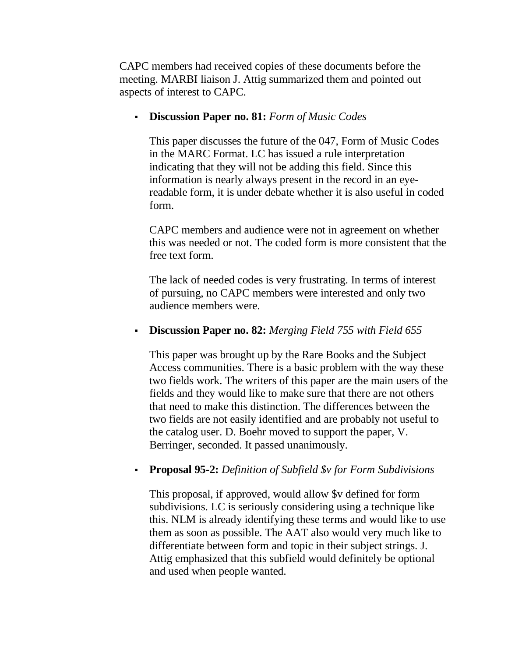CAPC members had received copies of these documents before the meeting. MARBI liaison J. Attig summarized them and pointed out aspects of interest to CAPC.

### **Discussion Paper no. 81:** *Form of Music Codes*

This paper discusses the future of the 047, Form of Music Codes in the MARC Format. LC has issued a rule interpretation indicating that they will not be adding this field. Since this information is nearly always present in the record in an eyereadable form, it is under debate whether it is also useful in coded form.

CAPC members and audience were not in agreement on whether this was needed or not. The coded form is more consistent that the free text form.

The lack of needed codes is very frustrating. In terms of interest of pursuing, no CAPC members were interested and only two audience members were.

# **Discussion Paper no. 82:** *Merging Field 755 with Field 655*

This paper was brought up by the Rare Books and the Subject Access communities. There is a basic problem with the way these two fields work. The writers of this paper are the main users of the fields and they would like to make sure that there are not others that need to make this distinction. The differences between the two fields are not easily identified and are probably not useful to the catalog user. D. Boehr moved to support the paper, V. Berringer, seconded. It passed unanimously.

# **Proposal 95-2:** *Definition of Subfield \$v for Form Subdivisions*

This proposal, if approved, would allow \$v defined for form subdivisions. LC is seriously considering using a technique like this. NLM is already identifying these terms and would like to use them as soon as possible. The AAT also would very much like to differentiate between form and topic in their subject strings. J. Attig emphasized that this subfield would definitely be optional and used when people wanted.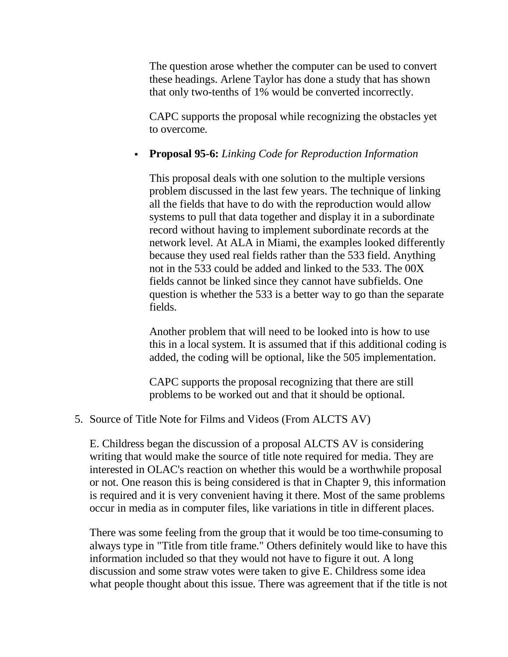The question arose whether the computer can be used to convert these headings. Arlene Taylor has done a study that has shown that only two-tenths of 1% would be converted incorrectly.

CAPC supports the proposal while recognizing the obstacles yet to overcome.

### **Proposal 95-6:** *Linking Code for Reproduction Information*

This proposal deals with one solution to the multiple versions problem discussed in the last few years. The technique of linking all the fields that have to do with the reproduction would allow systems to pull that data together and display it in a subordinate record without having to implement subordinate records at the network level. At ALA in Miami, the examples looked differently because they used real fields rather than the 533 field. Anything not in the 533 could be added and linked to the 533. The 00X fields cannot be linked since they cannot have subfields. One question is whether the 533 is a better way to go than the separate fields.

Another problem that will need to be looked into is how to use this in a local system. It is assumed that if this additional coding is added, the coding will be optional, like the 505 implementation.

CAPC supports the proposal recognizing that there are still problems to be worked out and that it should be optional.

#### 5. Source of Title Note for Films and Videos (From ALCTS AV)

E. Childress began the discussion of a proposal ALCTS AV is considering writing that would make the source of title note required for media. They are interested in OLAC's reaction on whether this would be a worthwhile proposal or not. One reason this is being considered is that in Chapter 9, this information is required and it is very convenient having it there. Most of the same problems occur in media as in computer files, like variations in title in different places.

There was some feeling from the group that it would be too time-consuming to always type in "Title from title frame." Others definitely would like to have this information included so that they would not have to figure it out. A long discussion and some straw votes were taken to give E. Childress some idea what people thought about this issue. There was agreement that if the title is not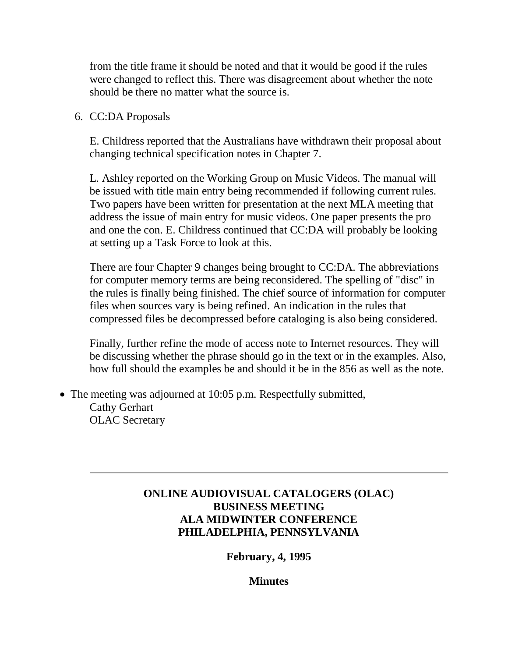from the title frame it should be noted and that it would be good if the rules were changed to reflect this. There was disagreement about whether the note should be there no matter what the source is.

6. CC:DA Proposals

E. Childress reported that the Australians have withdrawn their proposal about changing technical specification notes in Chapter 7.

L. Ashley reported on the Working Group on Music Videos. The manual will be issued with title main entry being recommended if following current rules. Two papers have been written for presentation at the next MLA meeting that address the issue of main entry for music videos. One paper presents the pro and one the con. E. Childress continued that CC:DA will probably be looking at setting up a Task Force to look at this.

There are four Chapter 9 changes being brought to CC:DA. The abbreviations for computer memory terms are being reconsidered. The spelling of "disc" in the rules is finally being finished. The chief source of information for computer files when sources vary is being refined. An indication in the rules that compressed files be decompressed before cataloging is also being considered.

Finally, further refine the mode of access note to Internet resources. They will be discussing whether the phrase should go in the text or in the examples. Also, how full should the examples be and should it be in the 856 as well as the note.

• The meeting was adjourned at 10:05 p.m. Respectfully submitted, Cathy Gerhart OLAC Secretary

# **ONLINE AUDIOVISUAL CATALOGERS (OLAC) BUSINESS MEETING ALA MIDWINTER CONFERENCE PHILADELPHIA, PENNSYLVANIA**

**February, 4, 1995**

**Minutes**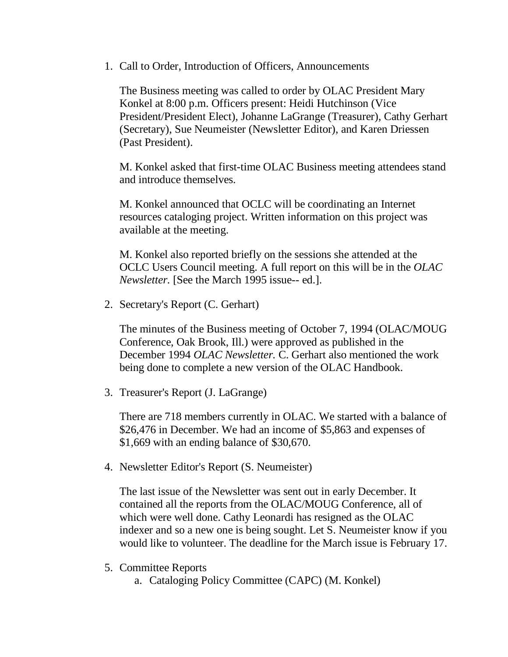1. Call to Order, Introduction of Officers, Announcements

The Business meeting was called to order by OLAC President Mary Konkel at 8:00 p.m. Officers present: Heidi Hutchinson (Vice President/President Elect), Johanne LaGrange (Treasurer), Cathy Gerhart (Secretary), Sue Neumeister (Newsletter Editor), and Karen Driessen (Past President).

M. Konkel asked that first-time OLAC Business meeting attendees stand and introduce themselves.

M. Konkel announced that OCLC will be coordinating an Internet resources cataloging project. Written information on this project was available at the meeting.

M. Konkel also reported briefly on the sessions she attended at the OCLC Users Council meeting. A full report on this will be in the *OLAC Newsletter.* [See the March 1995 issue-- ed.].

2. Secretary's Report (C. Gerhart)

The [minutes](http://ublib.buffalo.edu/libraries/units/cts/olac/newsletters/dec94.html#busmin) of the Business meeting of October 7, 1994 (OLAC/MOUG Conference, Oak Brook, Ill.) were approved as published in the December 1994 *OLAC Newsletter.* C. Gerhart also mentioned the work being done to complete a new version of the OLAC Handbook.

3. Treasurer's Report (J. LaGrange)

There are 718 members currently in OLAC. We started with a balance of \$26,476 in December. We had an income of \$5,863 and expenses of \$1,669 with an ending balance of \$30,670.

4. Newsletter Editor's Report (S. Neumeister)

The last issue of the Newsletter was sent out in early December. It contained all the reports from the OLAC/MOUG Conference, all of which were well done. Cathy Leonardi has resigned as the OLAC indexer and so a new one is being sought. Let S. Neumeister know if you would like to volunteer. The deadline for the March issue is February 17.

- 5. Committee Reports
	- a. Cataloging Policy Committee (CAPC) (M. Konkel)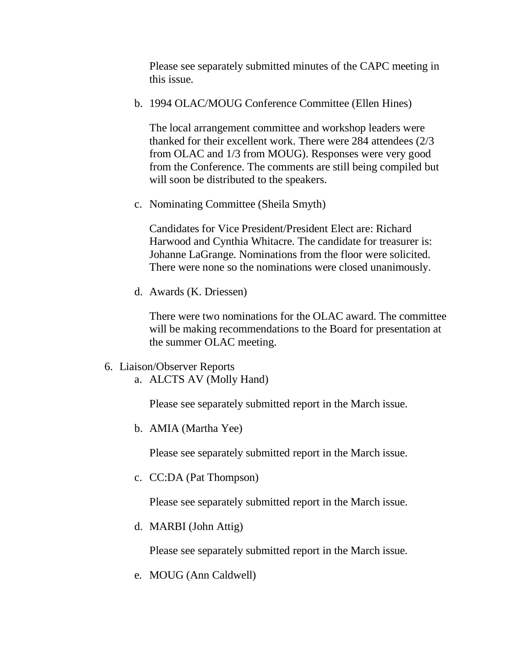Please see separately submitted minutes of the [CAPC meeting](http://ublib.buffalo.edu/libraries/units/cts/olac/newsletters/june95.html#capc) in this issue.

b. 1994 OLAC/MOUG Conference Committee (Ellen Hines)

The local arrangement committee and workshop leaders were thanked for their excellent work. There were 284 attendees (2/3 from OLAC and 1/3 from MOUG). Responses were very good from the Conference. The comments are still being compiled but will soon be distributed to the speakers.

c. Nominating Committee (Sheila Smyth)

Candidates for Vice President/President Elect are: Richard Harwood and Cynthia Whitacre. The candidate for treasurer is: Johanne LaGrange. Nominations from the floor were solicited. There were none so the nominations were closed unanimously.

d. Awards (K. Driessen)

There were two nominations for the OLAC award. The committee will be making recommendations to the Board for presentation at the summer OLAC meeting.

- 6. Liaison/Observer Reports
	- a. ALCTS AV (Molly Hand)

Please see separately submitted [report](http://ublib.buffalo.edu/libraries/units/cts/olac/newsletters/march95.html#alcts) in the March issue.

b. AMIA (Martha Yee)

Please see separately submitted [report](http://ublib.buffalo.edu/libraries/units/cts/olac/newsletters/march95.html#amia) in the March issue.

c. CC:DA (Pat Thompson)

Please see separately submitted [report](http://ublib.buffalo.edu/libraries/units/cts/olac/newsletters/march95.html#ccda) in the March issue.

d. MARBI (John Attig)

Please see separately submitted [report](http://ublib.buffalo.edu/libraries/units/cts/olac/newsletters/march95.html#marbi) in the March issue.

e. MOUG (Ann Caldwell)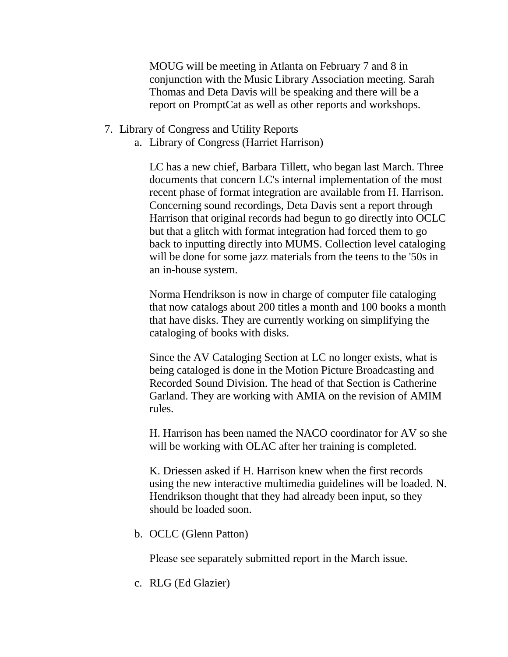MOUG will be meeting in Atlanta on February 7 and 8 in conjunction with the Music Library Association meeting. Sarah Thomas and Deta Davis will be speaking and there will be a report on PromptCat as well as other reports and workshops.

- 7. Library of Congress and Utility Reports
	- a. Library of Congress (Harriet Harrison)

LC has a new chief, Barbara Tillett, who began last March. Three documents that concern LC's internal implementation of the most recent phase of format integration are available from H. Harrison. Concerning sound recordings, Deta Davis sent a report through Harrison that original records had begun to go directly into OCLC but that a glitch with format integration had forced them to go back to inputting directly into MUMS. Collection level cataloging will be done for some jazz materials from the teens to the '50s in an in-house system.

Norma Hendrikson is now in charge of computer file cataloging that now catalogs about 200 titles a month and 100 books a month that have disks. They are currently working on simplifying the cataloging of books with disks.

Since the AV Cataloging Section at LC no longer exists, what is being cataloged is done in the Motion Picture Broadcasting and Recorded Sound Division. The head of that Section is Catherine Garland. They are working with AMIA on the revision of AMIM rules.

H. Harrison has been named the NACO coordinator for AV so she will be working with OLAC after her training is completed.

K. Driessen asked if H. Harrison knew when the first records using the new interactive multimedia guidelines will be loaded. N. Hendrikson thought that they had already been input, so they should be loaded soon.

b. OCLC (Glenn Patton)

Please see separately submitted [report](http://ublib.buffalo.edu/libraries/units/cts/olac/newsletters/march95.html#oclc) in the March issue.

c. RLG (Ed Glazier)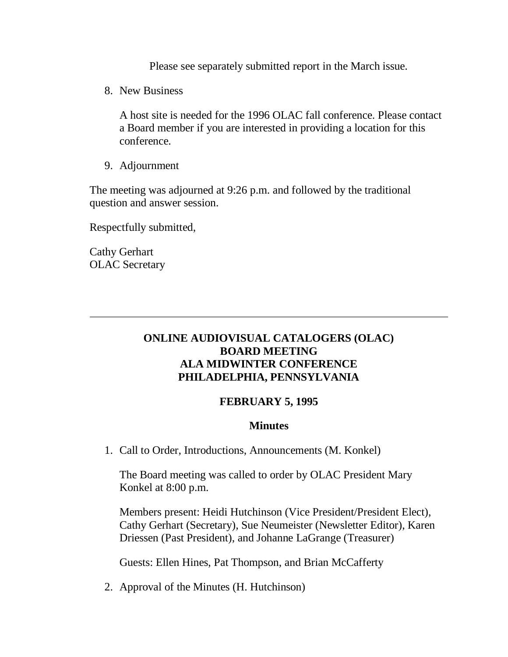Please see separately submitted [report](http://ublib.buffalo.edu/libraries/units/cts/olac/newsletters/march95.html#rlin) in the March issue.

8. New Business

A host site is needed for the 1996 OLAC fall conference. Please contact a Board member if you are interested in providing a location for this conference.

9. Adjournment

The meeting was adjourned at 9:26 p.m. and followed by the traditional question and answer session.

Respectfully submitted,

Cathy Gerhart OLAC Secretary

# **ONLINE AUDIOVISUAL CATALOGERS (OLAC) BOARD MEETING ALA MIDWINTER CONFERENCE PHILADELPHIA, PENNSYLVANIA**

#### **FEBRUARY 5, 1995**

#### **Minutes**

1. Call to Order, Introductions, Announcements (M. Konkel)

The Board meeting was called to order by OLAC President Mary Konkel at 8:00 p.m.

Members present: Heidi Hutchinson (Vice President/President Elect), Cathy Gerhart (Secretary), Sue Neumeister (Newsletter Editor), Karen Driessen (Past President), and Johanne LaGrange (Treasurer)

Guests: Ellen Hines, Pat Thompson, and Brian McCafferty

2. Approval of the Minutes (H. Hutchinson)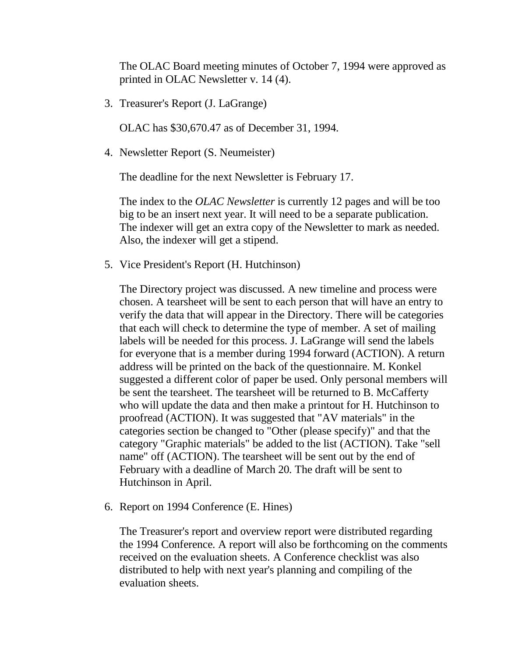The OLAC Board meeting [minutes](http://ublib.buffalo.edu/libraries/units/cts/olac/newsletters/dec94.html#board) of October 7, 1994 were approved as printed in OLAC Newsletter v. 14 (4).

3. Treasurer's Report (J. LaGrange)

OLAC has \$30,670.47 as of December 31, 1994.

4. Newsletter Report (S. Neumeister)

The deadline for the next Newsletter is February 17.

The index to the *OLAC Newsletter* is currently 12 pages and will be too big to be an insert next year. It will need to be a separate publication. The indexer will get an extra copy of the Newsletter to mark as needed. Also, the indexer will get a stipend.

5. Vice President's Report (H. Hutchinson)

The Directory project was discussed. A new timeline and process were chosen. A tearsheet will be sent to each person that will have an entry to verify the data that will appear in the Directory. There will be categories that each will check to determine the type of member. A set of mailing labels will be needed for this process. J. LaGrange will send the labels for everyone that is a member during 1994 forward (ACTION). A return address will be printed on the back of the questionnaire. M. Konkel suggested a different color of paper be used. Only personal members will be sent the tearsheet. The tearsheet will be returned to B. McCafferty who will update the data and then make a printout for H. Hutchinson to proofread (ACTION). It was suggested that "AV materials" in the categories section be changed to "Other (please specify)" and that the category "Graphic materials" be added to the list (ACTION). Take "sell name" off (ACTION). The tearsheet will be sent out by the end of February with a deadline of March 20. The draft will be sent to Hutchinson in April.

6. Report on 1994 Conference (E. Hines)

The Treasurer's report and overview report were distributed regarding the 1994 Conference. A report will also be forthcoming on the comments received on the evaluation sheets. A Conference checklist was also distributed to help with next year's planning and compiling of the evaluation sheets.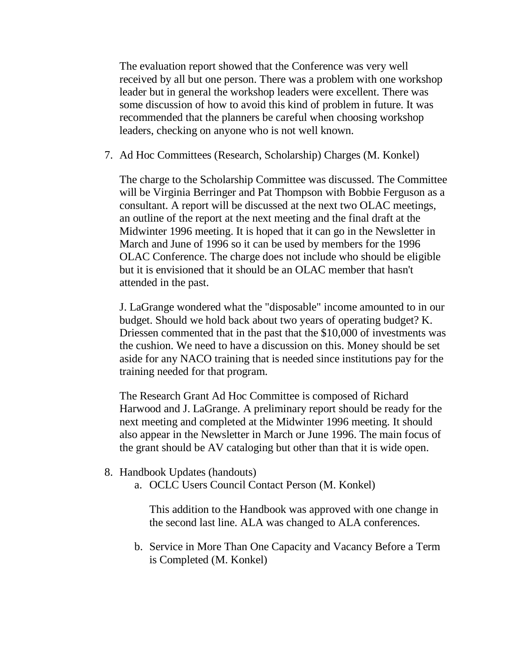The evaluation report showed that the Conference was very well received by all but one person. There was a problem with one workshop leader but in general the workshop leaders were excellent. There was some discussion of how to avoid this kind of problem in future. It was recommended that the planners be careful when choosing workshop leaders, checking on anyone who is not well known.

7. Ad Hoc Committees (Research, Scholarship) Charges (M. Konkel)

The charge to the Scholarship Committee was discussed. The Committee will be Virginia Berringer and Pat Thompson with Bobbie Ferguson as a consultant. A report will be discussed at the next two OLAC meetings, an outline of the report at the next meeting and the final draft at the Midwinter 1996 meeting. It is hoped that it can go in the Newsletter in March and June of 1996 so it can be used by members for the 1996 OLAC Conference. The charge does not include who should be eligible but it is envisioned that it should be an OLAC member that hasn't attended in the past.

J. LaGrange wondered what the "disposable" income amounted to in our budget. Should we hold back about two years of operating budget? K. Driessen commented that in the past that the \$10,000 of investments was the cushion. We need to have a discussion on this. Money should be set aside for any NACO training that is needed since institutions pay for the training needed for that program.

The Research Grant Ad Hoc Committee is composed of Richard Harwood and J. LaGrange. A preliminary report should be ready for the next meeting and completed at the Midwinter 1996 meeting. It should also appear in the Newsletter in March or June 1996. The main focus of the grant should be AV cataloging but other than that it is wide open.

- 8. Handbook Updates (handouts)
	- a. OCLC Users Council Contact Person (M. Konkel)

This addition to the Handbook was approved with one change in the second last line. ALA was changed to ALA conferences.

b. Service in More Than One Capacity and Vacancy Before a Term is Completed (M. Konkel)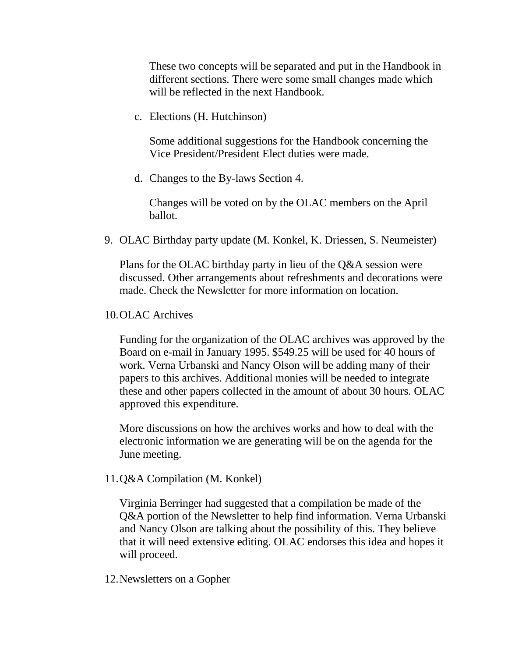These two concepts will be separated and put in the Handbook in different sections. There were some small changes made which will be reflected in the next Handbook.

c. Elections (H. Hutchinson)

Some additional suggestions for the Handbook concerning the Vice President/President Elect duties were made.

d. Changes to the By-laws Section 4.

Changes will be voted on by the OLAC members on the April ballot.

9. OLAC Birthday party update (M. Konkel, K. Driessen, S. Neumeister)

Plans for the OLAC birthday party in lieu of the Q&A session were discussed. Other arrangements about refreshments and decorations were made. Check the Newsletter for more information on location.

10.OLAC Archives

Funding for the organization of the OLAC archives was approved by the Board on e-mail in January 1995. \$549.25 will be used for 40 hours of work. Verna Urbanski and Nancy Olson will be adding many of their papers to this archives. Additional monies will be needed to integrate these and other papers collected in the amount of about 30 hours. OLAC approved this expenditure.

More discussions on how the archives works and how to deal with the electronic information we are generating will be on the agenda for the June meeting.

11.Q&A Compilation (M. Konkel)

Virginia Berringer had suggested that a compilation be made of the Q&A portion of the Newsletter to help find information. Verna Urbanski and Nancy Olson are talking about the possibility of this. They believe that it will need extensive editing. OLAC endorses this idea and hopes it will proceed.

#### 12.Newsletters on a Gopher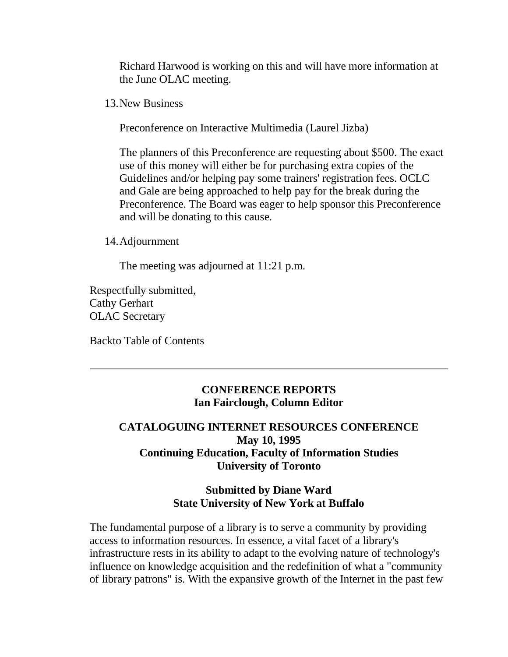Richard Harwood is working on this and will have more information at the June OLAC meeting.

13.New Business

Preconference on Interactive Multimedia (Laurel Jizba)

The planners of this Preconference are requesting about \$500. The exact use of this money will either be for purchasing extra copies of the Guidelines and/or helping pay some trainers' registration fees. OCLC and Gale are being approached to help pay for the break during the Preconference. The Board was eager to help sponsor this Preconference and will be donating to this cause.

14.Adjournment

The meeting was adjourned at 11:21 p.m.

Respectfully submitted, Cathy Gerhart OLAC Secretary

[Backto Table of Contents](http://ublib.buffalo.edu/libraries/units/cts/olac/newsletters/june95.html#table)

### **CONFERENCE REPORTS Ian Fairclough, Column Editor**

# **CATALOGUING INTERNET RESOURCES CONFERENCE May 10, 1995 Continuing Education, Faculty of Information Studies University of Toronto**

# **Submitted by Diane Ward State University of New York at Buffalo**

The fundamental purpose of a library is to serve a community by providing access to information resources. In essence, a vital facet of a library's infrastructure rests in its ability to adapt to the evolving nature of technology's influence on knowledge acquisition and the redefinition of what a "community of library patrons" is. With the expansive growth of the Internet in the past few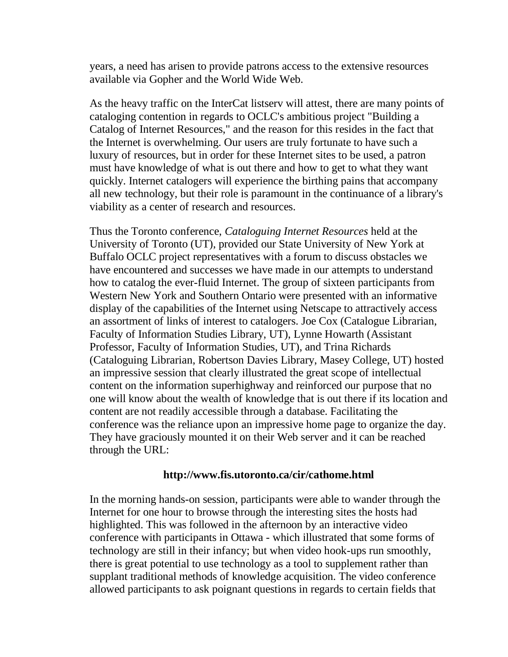years, a need has arisen to provide patrons access to the extensive resources available via Gopher and the World Wide Web.

As the heavy traffic on the InterCat listserv will attest, there are many points of cataloging contention in regards to OCLC's ambitious project "Building a Catalog of Internet Resources," and the reason for this resides in the fact that the Internet is overwhelming. Our users are truly fortunate to have such a luxury of resources, but in order for these Internet sites to be used, a patron must have knowledge of what is out there and how to get to what they want quickly. Internet catalogers will experience the birthing pains that accompany all new technology, but their role is paramount in the continuance of a library's viability as a center of research and resources.

Thus the Toronto conference, *Cataloguing Internet Resources* held at the University of Toronto (UT), provided our State University of New York at Buffalo OCLC project representatives with a forum to discuss obstacles we have encountered and successes we have made in our attempts to understand how to catalog the ever-fluid Internet. The group of sixteen participants from Western New York and Southern Ontario were presented with an informative display of the capabilities of the Internet using Netscape to attractively access an assortment of links of interest to catalogers. Joe Cox (Catalogue Librarian, Faculty of Information Studies Library, UT), Lynne Howarth (Assistant Professor, Faculty of Information Studies, UT), and Trina Richards (Cataloguing Librarian, Robertson Davies Library, Masey College, UT) hosted an impressive session that clearly illustrated the great scope of intellectual content on the information superhighway and reinforced our purpose that no one will know about the wealth of knowledge that is out there if its location and content are not readily accessible through a database. Facilitating the conference was the reliance upon an impressive home page to organize the day. They have graciously mounted it on their Web server and it can be reached through the URL:

#### **http://www.fis.utoronto.ca/cir/cathome.html**

In the morning hands-on session, participants were able to wander through the Internet for one hour to browse through the interesting sites the hosts had highlighted. This was followed in the afternoon by an interactive video conference with participants in Ottawa - which illustrated that some forms of technology are still in their infancy; but when video hook-ups run smoothly, there is great potential to use technology as a tool to supplement rather than supplant traditional methods of knowledge acquisition. The video conference allowed participants to ask poignant questions in regards to certain fields that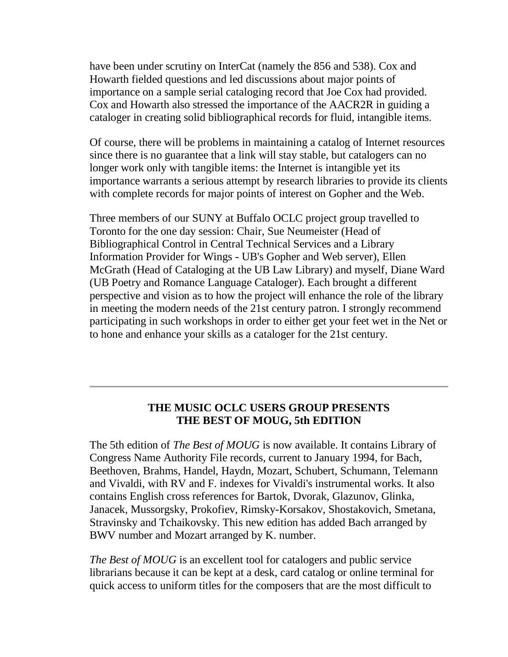have been under scrutiny on InterCat (namely the 856 and 538). Cox and Howarth fielded questions and led discussions about major points of importance on a sample serial cataloging record that Joe Cox had provided. Cox and Howarth also stressed the importance of the AACR2R in guiding a cataloger in creating solid bibliographical records for fluid, intangible items.

Of course, there will be problems in maintaining a catalog of Internet resources since there is no guarantee that a link will stay stable, but catalogers can no longer work only with tangible items: the Internet is intangible yet its importance warrants a serious attempt by research libraries to provide its clients with complete records for major points of interest on Gopher and the Web.

Three members of our SUNY at Buffalo OCLC project group travelled to Toronto for the one day session: Chair, Sue Neumeister (Head of Bibliographical Control in Central Technical Services and a Library Information Provider for Wings - UB's Gopher and Web server), Ellen McGrath (Head of Cataloging at the UB Law Library) and myself, Diane Ward (UB Poetry and Romance Language Cataloger). Each brought a different perspective and vision as to how the project will enhance the role of the library in meeting the modern needs of the 21st century patron. I strongly recommend participating in such workshops in order to either get your feet wet in the Net or to hone and enhance your skills as a cataloger for the 21st century.

### **THE MUSIC OCLC USERS GROUP PRESENTS THE BEST OF MOUG, 5th EDITION**

The 5th edition of *The Best of MOUG* is now available. It contains Library of Congress Name Authority File records, current to January 1994, for Bach, Beethoven, Brahms, Handel, Haydn, Mozart, Schubert, Schumann, Telemann and Vivaldi, with RV and F. indexes for Vivaldi's instrumental works. It also contains English cross references for Bartok, Dvorak, Glazunov, Glinka, Janacek, Mussorgsky, Prokofiev, Rimsky-Korsakov, Shostakovich, Smetana, Stravinsky and Tchaikovsky. This new edition has added Bach arranged by BWV number and Mozart arranged by K. number.

*The Best of MOUG* is an excellent tool for catalogers and public service librarians because it can be kept at a desk, card catalog or online terminal for quick access to uniform titles for the composers that are the most difficult to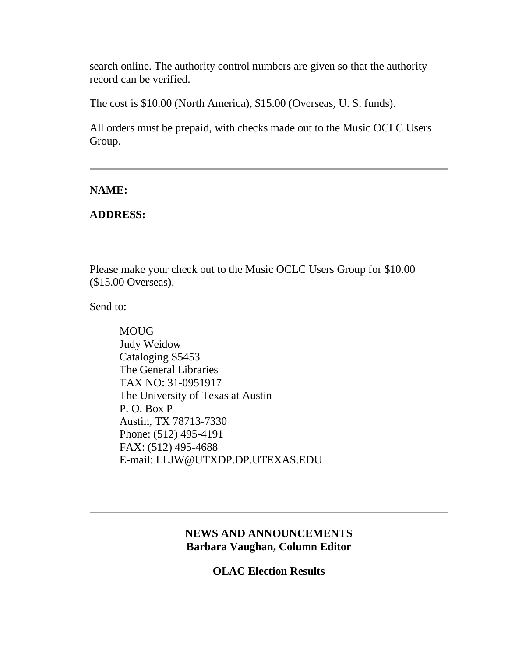search online. The authority control numbers are given so that the authority record can be verified.

The cost is \$10.00 (North America), \$15.00 (Overseas, U. S. funds).

All orders must be prepaid, with checks made out to the Music OCLC Users Group.

### **NAME:**

### **ADDRESS:**

Please make your check out to the Music OCLC Users Group for \$10.00 (\$15.00 Overseas).

Send to:

MOUG Judy Weidow Cataloging S5453 The General Libraries TAX NO: 31-0951917 The University of Texas at Austin P. O. Box P Austin, TX 78713-7330 Phone: (512) 495-4191 FAX: (512) 495-4688 E-mail: [LLJW@UTXDP.DP.UTEXAS.EDU](mailto:LLJW@UTXDP.DP.UTEXAS.EDU)

# **NEWS AND ANNOUNCEMENTS Barbara Vaughan, Column Editor**

**OLAC Election Results**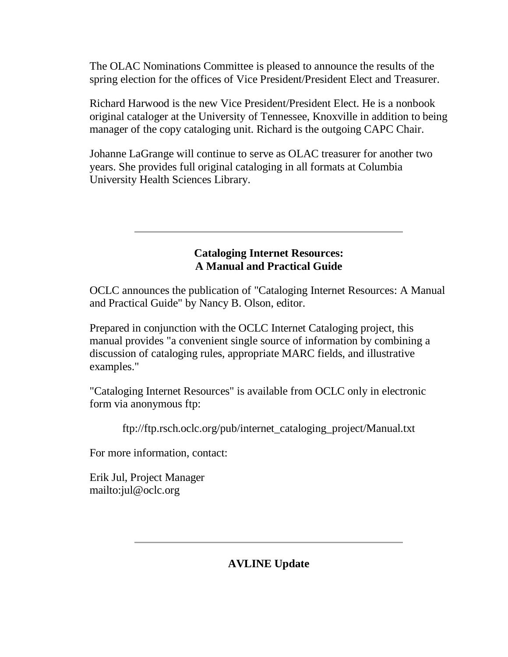The OLAC Nominations Committee is pleased to announce the results of the spring election for the offices of Vice President/President Elect and Treasurer.

Richard Harwood is the new Vice President/President Elect. He is a nonbook original cataloger at the University of Tennessee, Knoxville in addition to being manager of the copy cataloging unit. Richard is the outgoing CAPC Chair.

Johanne LaGrange will continue to serve as OLAC treasurer for another two years. She provides full original cataloging in all formats at Columbia University Health Sciences Library.

# **Cataloging Internet Resources: A Manual and Practical Guide**

OCLC announces the publication of "Cataloging Internet Resources: A Manual and Practical Guide" by Nancy B. Olson, editor.

Prepared in conjunction with the OCLC Internet Cataloging project, this manual provides "a convenient single source of information by combining a discussion of cataloging rules, appropriate MARC fields, and illustrative examples."

"Cataloging Internet Resources" is available from OCLC only in electronic form via anonymous ftp:

ftp://ftp.rsch.oclc.org/pub/internet\_cataloging\_project/Manual.txt

For more information, contact:

Erik Jul, Project Manager <mailto:jul@oclc.org>

**AVLINE Update**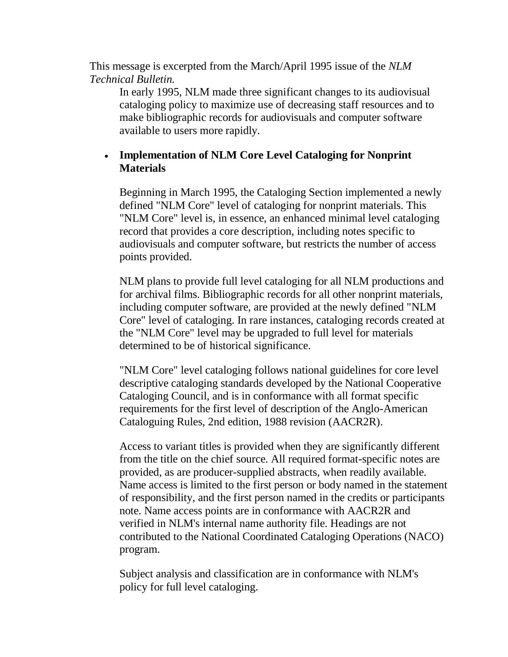This message is excerpted from the March/April 1995 issue of the *NLM Technical Bulletin.*

In early 1995, NLM made three significant changes to its audiovisual cataloging policy to maximize use of decreasing staff resources and to make bibliographic records for audiovisuals and computer software available to users more rapidly.

# **Implementation of NLM Core Level Cataloging for Nonprint Materials**

Beginning in March 1995, the Cataloging Section implemented a newly defined "NLM Core" level of cataloging for nonprint materials. This "NLM Core" level is, in essence, an enhanced minimal level cataloging record that provides a core description, including notes specific to audiovisuals and computer software, but restricts the number of access points provided.

NLM plans to provide full level cataloging for all NLM productions and for archival films. Bibliographic records for all other nonprint materials, including computer software, are provided at the newly defined "NLM Core" level of cataloging. In rare instances, cataloging records created at the "NLM Core" level may be upgraded to full level for materials determined to be of historical significance.

"NLM Core" level cataloging follows national guidelines for core level descriptive cataloging standards developed by the National Cooperative Cataloging Council, and is in conformance with all format specific requirements for the first level of description of the Anglo-American Cataloguing Rules, 2nd edition, 1988 revision (AACR2R).

Access to variant titles is provided when they are significantly different from the title on the chief source. All required format-specific notes are provided, as are producer-supplied abstracts, when readily available. Name access is limited to the first person or body named in the statement of responsibility, and the first person named in the credits or participants note. Name access points are in conformance with AACR2R and verified in NLM's internal name authority file. Headings are not contributed to the National Coordinated Cataloging Operations (NACO) program.

Subject analysis and classification are in conformance with NLM's policy for full level cataloging.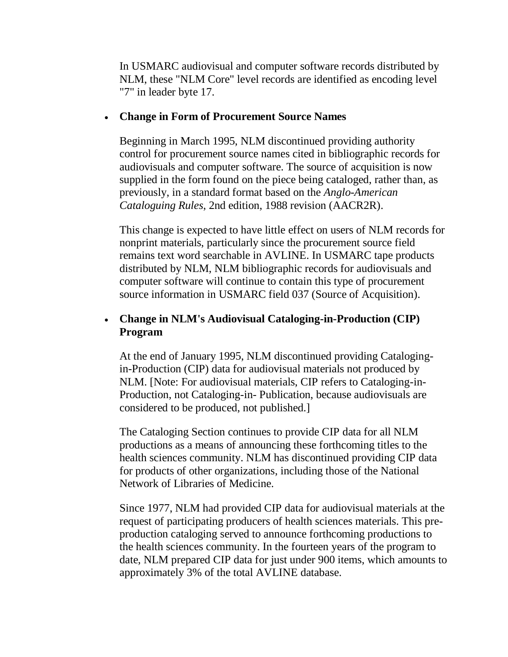In USMARC audiovisual and computer software records distributed by NLM, these "NLM Core" level records are identified as encoding level "7" in leader byte 17.

#### **Change in Form of Procurement Source Names**

Beginning in March 1995, NLM discontinued providing authority control for procurement source names cited in bibliographic records for audiovisuals and computer software. The source of acquisition is now supplied in the form found on the piece being cataloged, rather than, as previously, in a standard format based on the *Anglo-American Cataloguing Rules*, 2nd edition, 1988 revision (AACR2R).

This change is expected to have little effect on users of NLM records for nonprint materials, particularly since the procurement source field remains text word searchable in AVLINE. In USMARC tape products distributed by NLM, NLM bibliographic records for audiovisuals and computer software will continue to contain this type of procurement source information in USMARC field 037 (Source of Acquisition).

# **Change in NLM's Audiovisual Cataloging-in-Production (CIP) Program**

At the end of January 1995, NLM discontinued providing Catalogingin-Production (CIP) data for audiovisual materials not produced by NLM. [Note: For audiovisual materials, CIP refers to Cataloging-in-Production, not Cataloging-in- Publication, because audiovisuals are considered to be produced, not published.]

The Cataloging Section continues to provide CIP data for all NLM productions as a means of announcing these forthcoming titles to the health sciences community. NLM has discontinued providing CIP data for products of other organizations, including those of the National Network of Libraries of Medicine.

Since 1977, NLM had provided CIP data for audiovisual materials at the request of participating producers of health sciences materials. This preproduction cataloging served to announce forthcoming productions to the health sciences community. In the fourteen years of the program to date, NLM prepared CIP data for just under 900 items, which amounts to approximately 3% of the total AVLINE database.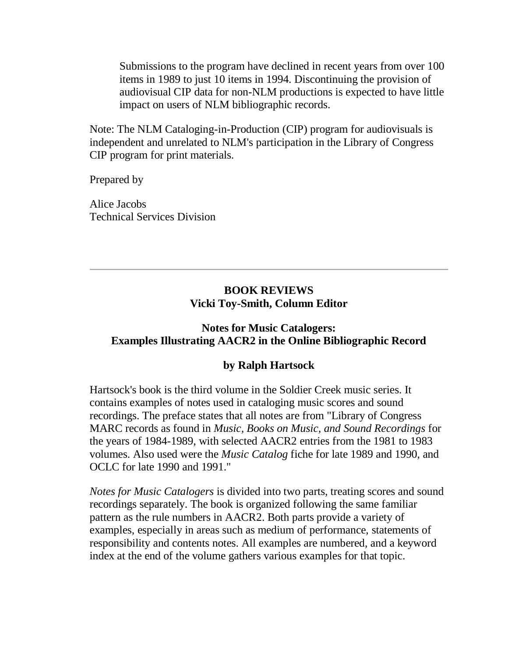Submissions to the program have declined in recent years from over 100 items in 1989 to just 10 items in 1994. Discontinuing the provision of audiovisual CIP data for non-NLM productions is expected to have little impact on users of NLM bibliographic records.

Note: The NLM Cataloging-in-Production (CIP) program for audiovisuals is independent and unrelated to NLM's participation in the Library of Congress CIP program for print materials.

Prepared by

Alice Jacobs Technical Services Division

# **BOOK REVIEWS Vicki Toy-Smith, Column Editor**

# **Notes for Music Catalogers: Examples Illustrating AACR2 in the Online Bibliographic Record**

# **by Ralph Hartsock**

Hartsock's book is the third volume in the Soldier Creek music series. It contains examples of notes used in cataloging music scores and sound recordings. The preface states that all notes are from "Library of Congress MARC records as found in *Music, Books on Music, and Sound Recordings* for the years of 1984-1989, with selected AACR2 entries from the 1981 to 1983 volumes. Also used were the *Music Catalog* fiche for late 1989 and 1990, and OCLC for late 1990 and 1991."

*Notes for Music Catalogers* is divided into two parts, treating scores and sound recordings separately. The book is organized following the same familiar pattern as the rule numbers in AACR2. Both parts provide a variety of examples, especially in areas such as medium of performance, statements of responsibility and contents notes. All examples are numbered, and a keyword index at the end of the volume gathers various examples for that topic.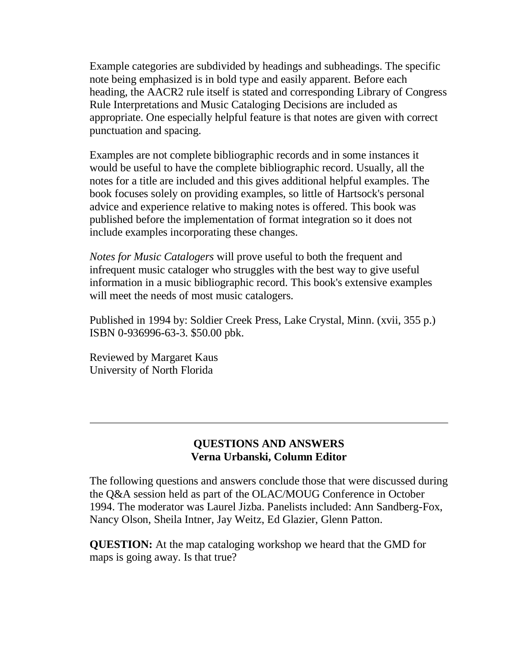Example categories are subdivided by headings and subheadings. The specific note being emphasized is in bold type and easily apparent. Before each heading, the AACR2 rule itself is stated and corresponding Library of Congress Rule Interpretations and Music Cataloging Decisions are included as appropriate. One especially helpful feature is that notes are given with correct punctuation and spacing.

Examples are not complete bibliographic records and in some instances it would be useful to have the complete bibliographic record. Usually, all the notes for a title are included and this gives additional helpful examples. The book focuses solely on providing examples, so little of Hartsock's personal advice and experience relative to making notes is offered. This book was published before the implementation of format integration so it does not include examples incorporating these changes.

*Notes for Music Catalogers* will prove useful to both the frequent and infrequent music cataloger who struggles with the best way to give useful information in a music bibliographic record. This book's extensive examples will meet the needs of most music catalogers.

Published in 1994 by: Soldier Creek Press, Lake Crystal, Minn. (xvii, 355 p.) ISBN 0-936996-63-3. \$50.00 pbk.

Reviewed by Margaret Kaus University of North Florida

### **QUESTIONS AND ANSWERS Verna Urbanski, Column Editor**

The following questions and answers conclude those that were discussed during the Q&A session held as part of the OLAC/MOUG Conference in October 1994. The moderator was Laurel Jizba. Panelists included: Ann Sandberg-Fox, Nancy Olson, Sheila Intner, Jay Weitz, Ed Glazier, Glenn Patton.

**QUESTION:** At the map cataloging workshop we heard that the GMD for maps is going away. Is that true?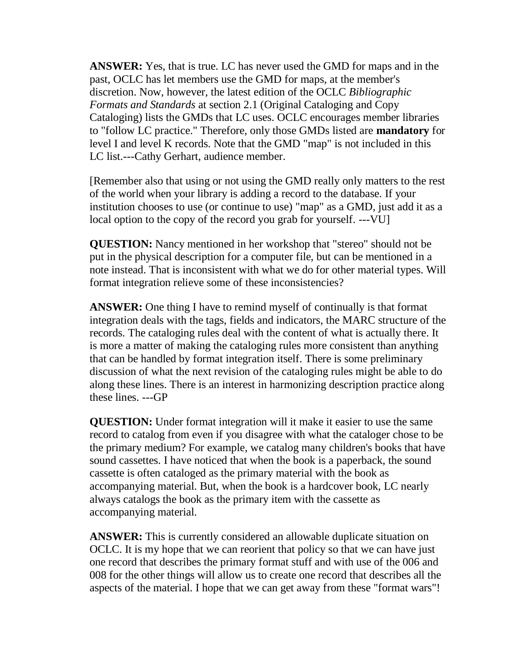**ANSWER:** Yes, that is true. LC has never used the GMD for maps and in the past, OCLC has let members use the GMD for maps, at the member's discretion. Now, however, the latest edition of the OCLC *Bibliographic Formats and Standards* at section 2.1 (Original Cataloging and Copy Cataloging) lists the GMDs that LC uses. OCLC encourages member libraries to "follow LC practice." Therefore, only those GMDs listed are **mandatory** for level I and level K records. Note that the GMD "map" is not included in this LC list.---Cathy Gerhart, audience member.

[Remember also that using or not using the GMD really only matters to the rest of the world when your library is adding a record to the database. If your institution chooses to use (or continue to use) "map" as a GMD, just add it as a local option to the copy of the record you grab for yourself. ---VU]

**QUESTION:** Nancy mentioned in her workshop that "stereo" should not be put in the physical description for a computer file, but can be mentioned in a note instead. That is inconsistent with what we do for other material types. Will format integration relieve some of these inconsistencies?

**ANSWER:** One thing I have to remind myself of continually is that format integration deals with the tags, fields and indicators, the MARC structure of the records. The cataloging rules deal with the content of what is actually there. It is more a matter of making the cataloging rules more consistent than anything that can be handled by format integration itself. There is some preliminary discussion of what the next revision of the cataloging rules might be able to do along these lines. There is an interest in harmonizing description practice along these lines. ---GP

**QUESTION:** Under format integration will it make it easier to use the same record to catalog from even if you disagree with what the cataloger chose to be the primary medium? For example, we catalog many children's books that have sound cassettes. I have noticed that when the book is a paperback, the sound cassette is often cataloged as the primary material with the book as accompanying material. But, when the book is a hardcover book, LC nearly always catalogs the book as the primary item with the cassette as accompanying material.

**ANSWER:** This is currently considered an allowable duplicate situation on OCLC. It is my hope that we can reorient that policy so that we can have just one record that describes the primary format stuff and with use of the 006 and 008 for the other things will allow us to create one record that describes all the aspects of the material. I hope that we can get away from these "format wars"!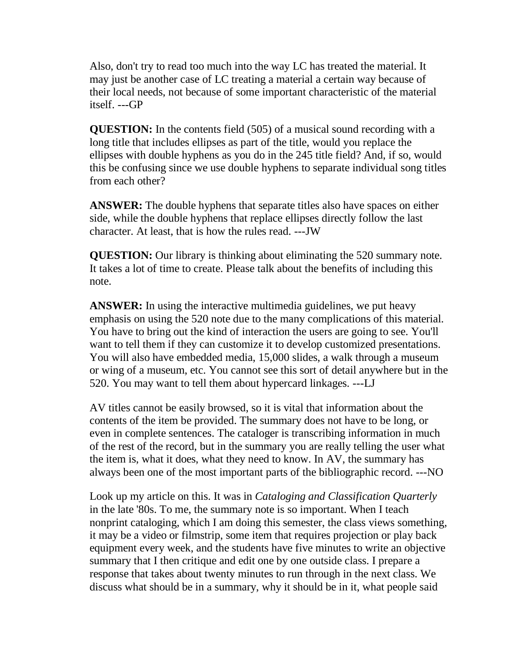Also, don't try to read too much into the way LC has treated the material. It may just be another case of LC treating a material a certain way because of their local needs, not because of some important characteristic of the material itself. ---GP

**QUESTION:** In the contents field (505) of a musical sound recording with a long title that includes ellipses as part of the title, would you replace the ellipses with double hyphens as you do in the 245 title field? And, if so, would this be confusing since we use double hyphens to separate individual song titles from each other?

**ANSWER:** The double hyphens that separate titles also have spaces on either side, while the double hyphens that replace ellipses directly follow the last character. At least, that is how the rules read. ---JW

**QUESTION:** Our library is thinking about eliminating the 520 summary note. It takes a lot of time to create. Please talk about the benefits of including this note.

**ANSWER:** In using the interactive multimedia guidelines, we put heavy emphasis on using the 520 note due to the many complications of this material. You have to bring out the kind of interaction the users are going to see. You'll want to tell them if they can customize it to develop customized presentations. You will also have embedded media, 15,000 slides, a walk through a museum or wing of a museum, etc. You cannot see this sort of detail anywhere but in the 520. You may want to tell them about hypercard linkages. ---LJ

AV titles cannot be easily browsed, so it is vital that information about the contents of the item be provided. The summary does not have to be long, or even in complete sentences. The cataloger is transcribing information in much of the rest of the record, but in the summary you are really telling the user what the item is, what it does, what they need to know. In AV, the summary has always been one of the most important parts of the bibliographic record. ---NO

Look up my article on this. It was in *Cataloging and Classification Quarterly* in the late '80s. To me, the summary note is so important. When I teach nonprint cataloging, which I am doing this semester, the class views something, it may be a video or filmstrip, some item that requires projection or play back equipment every week, and the students have five minutes to write an objective summary that I then critique and edit one by one outside class. I prepare a response that takes about twenty minutes to run through in the next class. We discuss what should be in a summary, why it should be in it, what people said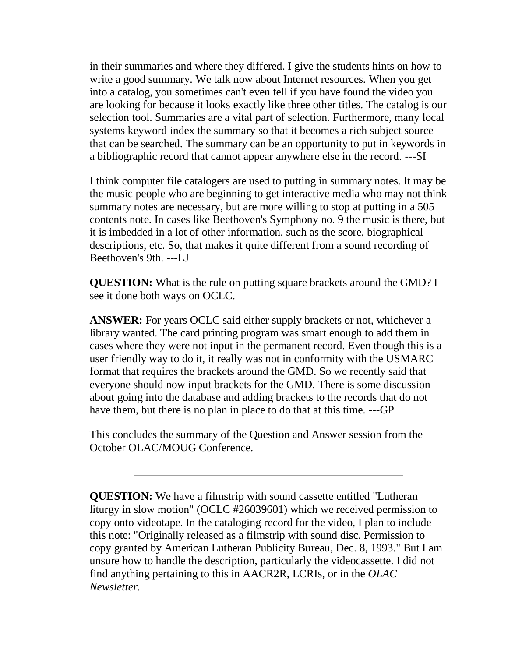in their summaries and where they differed. I give the students hints on how to write a good summary. We talk now about Internet resources. When you get into a catalog, you sometimes can't even tell if you have found the video you are looking for because it looks exactly like three other titles. The catalog is our selection tool. Summaries are a vital part of selection. Furthermore, many local systems keyword index the summary so that it becomes a rich subject source that can be searched. The summary can be an opportunity to put in keywords in a bibliographic record that cannot appear anywhere else in the record. ---SI

I think computer file catalogers are used to putting in summary notes. It may be the music people who are beginning to get interactive media who may not think summary notes are necessary, but are more willing to stop at putting in a 505 contents note. In cases like Beethoven's Symphony no. 9 the music is there, but it is imbedded in a lot of other information, such as the score, biographical descriptions, etc. So, that makes it quite different from a sound recording of Beethoven's 9th. ---LJ

**QUESTION:** What is the rule on putting square brackets around the GMD? I see it done both ways on OCLC.

**ANSWER:** For years OCLC said either supply brackets or not, whichever a library wanted. The card printing program was smart enough to add them in cases where they were not input in the permanent record. Even though this is a user friendly way to do it, it really was not in conformity with the USMARC format that requires the brackets around the GMD. So we recently said that everyone should now input brackets for the GMD. There is some discussion about going into the database and adding brackets to the records that do not have them, but there is no plan in place to do that at this time. ---GP

This concludes the summary of the Question and Answer session from the October OLAC/MOUG Conference.

**QUESTION:** We have a filmstrip with sound cassette entitled "Lutheran liturgy in slow motion" (OCLC #26039601) which we received permission to copy onto videotape. In the cataloging record for the video, I plan to include this note: "Originally released as a filmstrip with sound disc. Permission to copy granted by American Lutheran Publicity Bureau, Dec. 8, 1993." But I am unsure how to handle the description, particularly the videocassette. I did not find anything pertaining to this in AACR2R, LCRIs, or in the *OLAC Newsletter.*